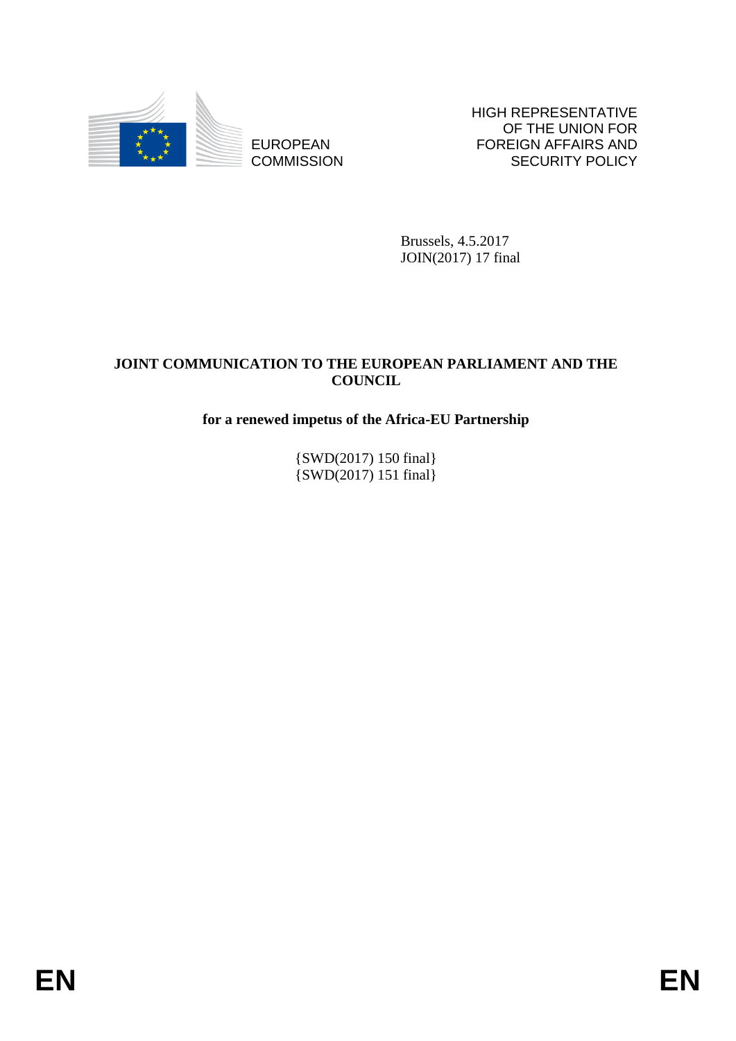

EUROPEAN **COMMISSION**  HIGH REPRESENTATIVE OF THE UNION FOR FOREIGN AFFAIRS AND SECURITY POLICY

Brussels, 4.5.2017 JOIN(2017) 17 final

# **JOINT COMMUNICATION TO THE EUROPEAN PARLIAMENT AND THE COUNCIL**

# **for a renewed impetus of the Africa-EU Partnership**

{SWD(2017) 150 final} {SWD(2017) 151 final}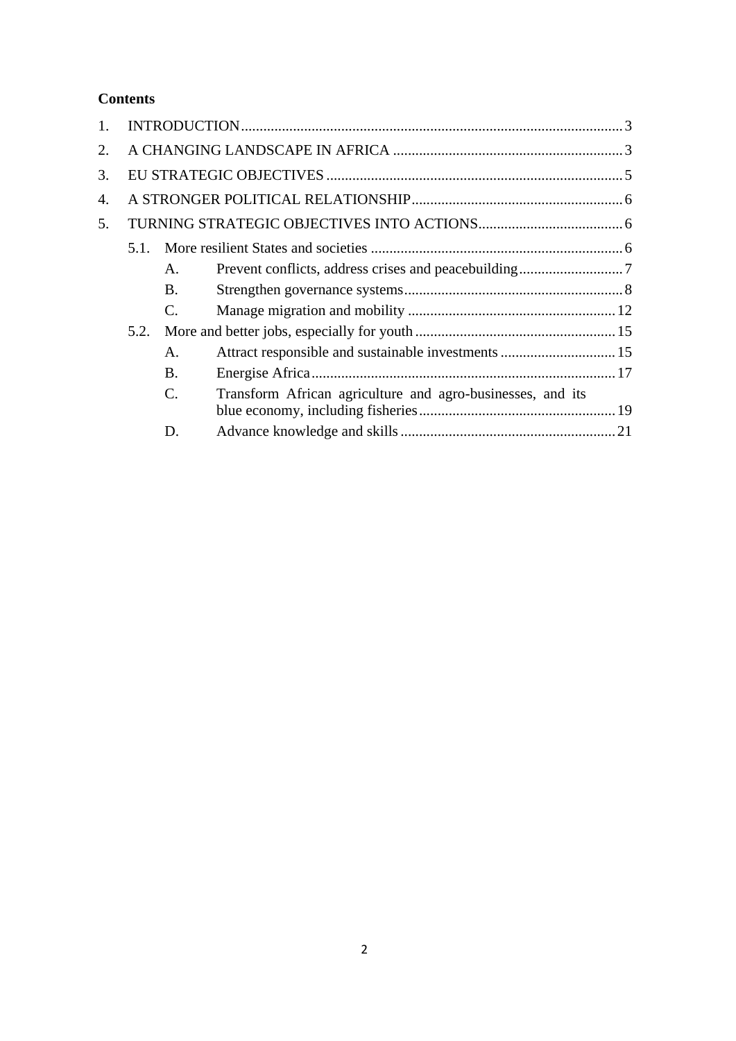# **Contents**

| 2. |      |                |                                                            |  |
|----|------|----------------|------------------------------------------------------------|--|
| 3. |      |                |                                                            |  |
| 4. |      |                |                                                            |  |
| 5. |      |                |                                                            |  |
|    | 5.1. |                |                                                            |  |
|    |      | A.             |                                                            |  |
|    |      | <b>B.</b>      |                                                            |  |
|    |      | $\mathbf{C}$ . |                                                            |  |
|    | 5.2. |                |                                                            |  |
|    |      | A.             |                                                            |  |
|    |      | <b>B.</b>      |                                                            |  |
|    |      | C.             | Transform African agriculture and agro-businesses, and its |  |
|    |      |                |                                                            |  |
|    |      | D.             |                                                            |  |
|    |      |                |                                                            |  |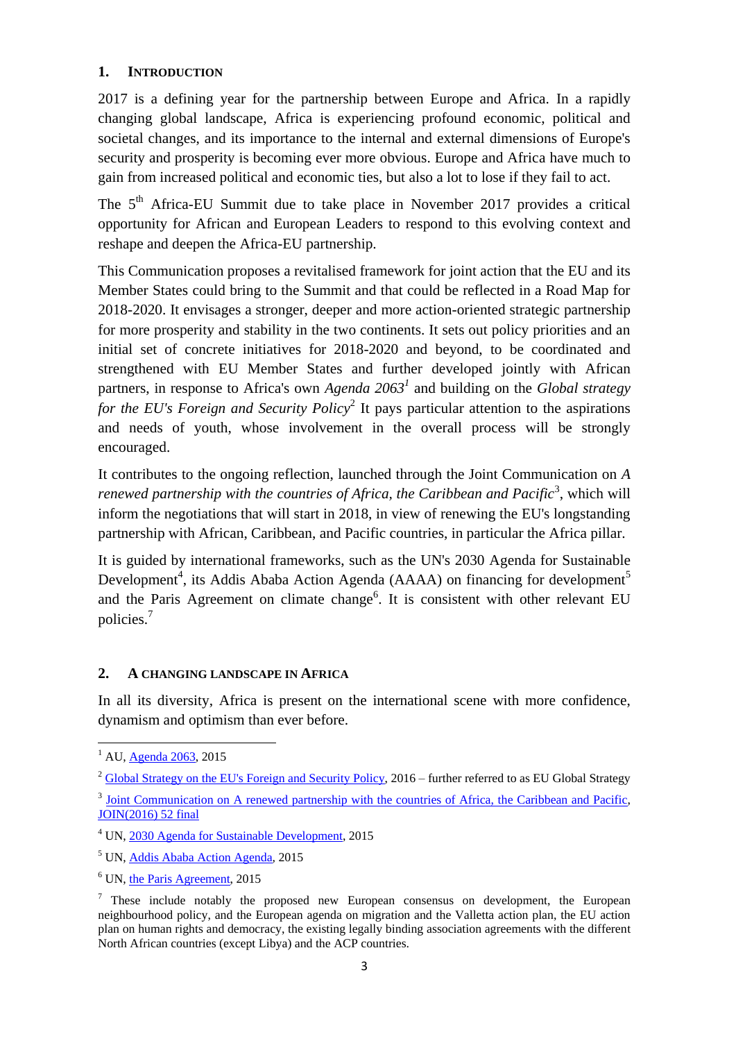## <span id="page-2-0"></span>**1. INTRODUCTION**

2017 is a defining year for the partnership between Europe and Africa. In a rapidly changing global landscape, Africa is experiencing profound economic, political and societal changes, and its importance to the internal and external dimensions of Europe's security and prosperity is becoming ever more obvious. Europe and Africa have much to gain from increased political and economic ties, but also a lot to lose if they fail to act.

The 5<sup>th</sup> Africa-EU Summit due to take place in November 2017 provides a critical opportunity for African and European Leaders to respond to this evolving context and reshape and deepen the Africa-EU partnership.

This Communication proposes a revitalised framework for joint action that the EU and its Member States could bring to the Summit and that could be reflected in a Road Map for 2018-2020. It envisages a stronger, deeper and more action-oriented strategic partnership for more prosperity and stability in the two continents. It sets out policy priorities and an initial set of concrete initiatives for 2018-2020 and beyond, to be coordinated and strengthened with EU Member States and further developed jointly with African partners, in response to Africa's own *Agenda 2063<sup>1</sup>* and building on the *Global strategy*  for the EU's Foreign and Security Policy<sup>2</sup> It pays particular attention to the aspirations and needs of youth, whose involvement in the overall process will be strongly encouraged.

It contributes to the ongoing reflection, launched through the Joint Communication on *A*  renewed partnership with the countries of Africa, the Caribbean and Pacific<sup>3</sup>, which will inform the negotiations that will start in 2018, in view of renewing the EU's longstanding partnership with African, Caribbean, and Pacific countries, in particular the Africa pillar.

It is guided by international frameworks, such as the UN's 2030 Agenda for Sustainable Development<sup>4</sup>, its Addis Ababa Action Agenda (AAAA) on financing for development<sup>5</sup> and the Paris Agreement on climate change<sup>6</sup>. It is consistent with other relevant EU policies.<sup>7</sup>

#### <span id="page-2-1"></span>**2. A CHANGING LANDSCAPE IN AFRICA**

In all its diversity, Africa is present on the international scene with more confidence, dynamism and optimism than ever before.

 $\overline{a}$ 

<sup>&</sup>lt;sup>1</sup> AU[, Agenda 2063,](https://www.au.int/web/sites/default/files/pages/3657-file-agenda2063_popular_version_en.pdf) 2015

<sup>&</sup>lt;sup>2</sup> [Global Strategy on the EU's Foreign and Security Policy,](https://eeas.europa.eu/top_stories/pdf/eugs_review_web.pdf) 2016 – further referred to as EU Global Strategy

<sup>&</sup>lt;sup>3</sup> [Joint Communication on A renewed partnership with the countries of Africa, the Caribbean and Pacific,](https://ec.europa.eu/europeaid/sites/devco/files/joint-communication-renewed-partnership-acp-20161122_en.pdf) JOIN(2016) 52 final

<sup>4</sup> UN[, 2030 Agenda for Sustainable Development,](http://www.un.org/ga/search/view_doc.asp?symbol=A/RES/70/1&Lang=E) 2015

<sup>5</sup> UN[, Addis Ababa Action Agenda](https://www.google.be/url?sa=t&rct=j&q=&esrc=s&source=web&cd=1&ved=0ahUKEwiR_abqyo_TAhWnCMAKHUJiAmQQFggfMAA&url=http%3A%2F%2Fwww.un.org%2Fesa%2Fffd%2Fwp-content%2Fuploads%2F2015%2F08%2FAAAA_Outcome.pdf&usg=AFQjCNEdY1OG43JYNL733B6ecdzID874vA&sig2=CY1qNktg4Q5cD-Jt-1_o4g&cad=rja)*,* 2015

<sup>6</sup> UN[, the Paris Agreement,](http://unfccc.int/files/essential_background/convention/application/pdf/english_paris_agreement.pdf) 2015

 $\frac{7}{1}$  These include notably the proposed new European consensus on development, the European neighbourhood policy, and the European agenda on migration and the Valletta action plan, the EU action plan on human rights and democracy, the existing legally binding association agreements with the different North African countries (except Libya) and the ACP countries.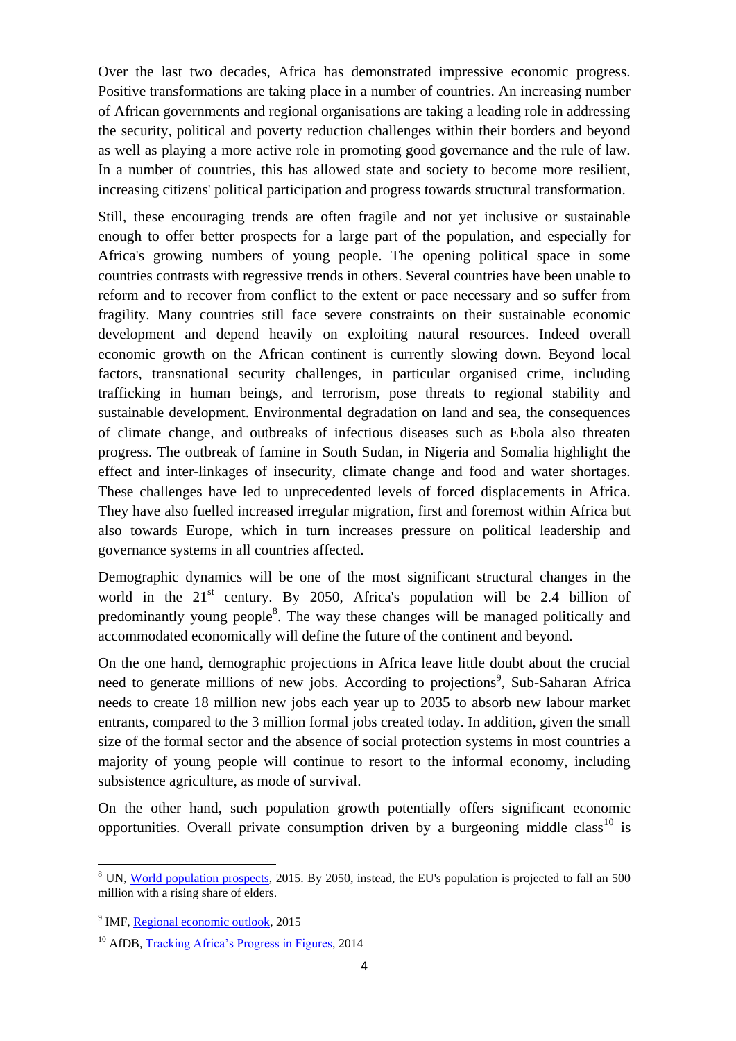Over the last two decades, Africa has demonstrated impressive economic progress. Positive transformations are taking place in a number of countries. An increasing number of African governments and regional organisations are taking a leading role in addressing the security, political and poverty reduction challenges within their borders and beyond as well as playing a more active role in promoting good governance and the rule of law. In a number of countries, this has allowed state and society to become more resilient, increasing citizens' political participation and progress towards structural transformation.

Still, these encouraging trends are often fragile and not yet inclusive or sustainable enough to offer better prospects for a large part of the population, and especially for Africa's growing numbers of young people. The opening political space in some countries contrasts with regressive trends in others. Several countries have been unable to reform and to recover from conflict to the extent or pace necessary and so suffer from fragility. Many countries still face severe constraints on their sustainable economic development and depend heavily on exploiting natural resources. Indeed overall economic growth on the African continent is currently slowing down. Beyond local factors, transnational security challenges, in particular organised crime, including trafficking in human beings, and terrorism, pose threats to regional stability and sustainable development. Environmental degradation on land and sea, the consequences of climate change, and outbreaks of infectious diseases such as Ebola also threaten progress. The outbreak of famine in South Sudan, in Nigeria and Somalia highlight the effect and inter-linkages of insecurity, climate change and food and water shortages. These challenges have led to unprecedented levels of forced displacements in Africa. They have also fuelled increased irregular migration, first and foremost within Africa but also towards Europe, which in turn increases pressure on political leadership and governance systems in all countries affected.

Demographic dynamics will be one of the most significant structural changes in the world in the  $21<sup>st</sup>$  century. By 2050, Africa's population will be 2.4 billion of predominantly young people<sup>8</sup>. The way these changes will be managed politically and accommodated economically will define the future of the continent and beyond.

On the one hand, demographic projections in Africa leave little doubt about the crucial need to generate millions of new jobs. According to projections<sup>9</sup>, Sub-Saharan Africa needs to create 18 million new jobs each year up to 2035 to absorb new labour market entrants, compared to the 3 million formal jobs created today. In addition, given the small size of the formal sector and the absence of social protection systems in most countries a majority of young people will continue to resort to the informal economy, including subsistence agriculture, as mode of survival.

On the other hand, such population growth potentially offers significant economic opportunities. Overall private consumption driven by a burgeoning middle class<sup>10</sup> is

1

<sup>&</sup>lt;sup>8</sup> UN, [World population prospects,](https://esa.un.org/unpd/wpp/) 2015. By 2050, instead, the EU's population is projected to fall an 500 million with a rising share of elders.

<sup>&</sup>lt;sup>9</sup> IMF, [Regional economic outlook,](http://www.imf.org/external/pubs/ft/reo/2015/afr/eng/pdf/sreo0415.pdf) 2015

<sup>&</sup>lt;sup>10</sup> AfDB, [Tracking Africa's Progress in Figures,](https://www.google.be/url?sa=t&rct=j&q=&esrc=s&source=web&cd=1&ved=0ahUKEwix-vquq4_TAhVHJ8AKHQzTCUwQFggcMAA&url=https%3A%2F%2Fwww.afdb.org%2Ffileadmin%2Fuploads%2Fafdb%2FDocuments%2FPublications%2FTracking_Africa%25E2%2580%2599s_Progress_in_Figures.pdf&usg=AFQjCNG2V-ANmC66xvhJUABGxRHTbwEtrQ&sig2=7S0duOY0A4gLGUI2wejEHA&cad=rja) 2014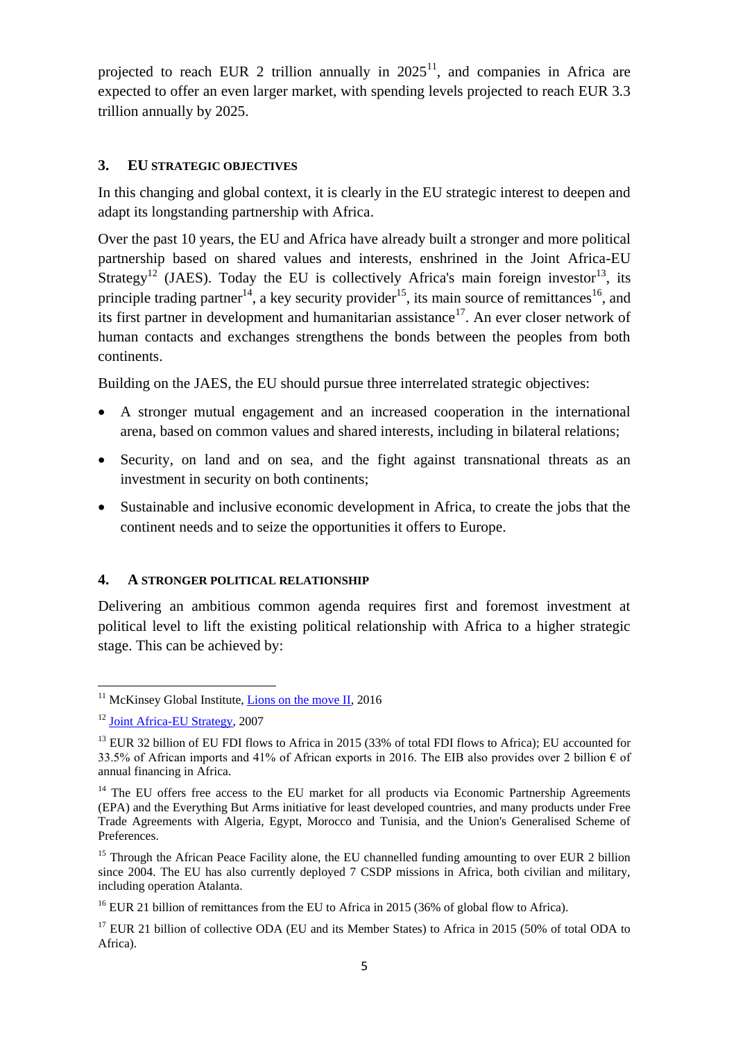projected to reach EUR 2 trillion annually in  $2025<sup>11</sup>$ , and companies in Africa are expected to offer an even larger market, with spending levels projected to reach EUR 3.3 trillion annually by 2025.

#### <span id="page-4-0"></span>**3. EU STRATEGIC OBJECTIVES**

In this changing and global context, it is clearly in the EU strategic interest to deepen and adapt its longstanding partnership with Africa.

Over the past 10 years, the EU and Africa have already built a stronger and more political partnership based on shared values and interests, enshrined in the Joint Africa-EU Strategy<sup>12</sup> (JAES). Today the EU is collectively Africa's main foreign investor<sup>13</sup>, its principle trading partner<sup>14</sup>, a key security provider<sup>15</sup>, its main source of remittances<sup>16</sup>, and its first partner in development and humanitarian assistance<sup>17</sup>. An ever closer network of human contacts and exchanges strengthens the bonds between the peoples from both continents.

Building on the JAES, the EU should pursue three interrelated strategic objectives:

- A stronger mutual engagement and an increased cooperation in the international arena, based on common values and shared interests, including in bilateral relations;
- Security, on land and on sea, and the fight against transnational threats as an investment in security on both continents;
- Sustainable and inclusive economic development in Africa, to create the jobs that the continent needs and to seize the opportunities it offers to Europe.

#### <span id="page-4-1"></span>**4. A STRONGER POLITICAL RELATIONSHIP**

Delivering an ambitious common agenda requires first and foremost investment at political level to lift the existing political relationship with Africa to a higher strategic stage. This can be achieved by:

 $\overline{a}$ <sup>11</sup> McKinsey Global Institute, **Lions on the move II**, 2016

<sup>&</sup>lt;sup>12</sup> [Joint Africa-EU Strategy,](http://www.africa-eu-partnership.org/sites/default/files/documents/eas2007_joint_strategy_en.pdf) 2007

<sup>&</sup>lt;sup>13</sup> EUR 32 billion of EU FDI flows to Africa in 2015 (33% of total FDI flows to Africa); EU accounted for 33.5% of African imports and 41% of African exports in 2016. The EIB also provides over 2 billion  $\epsilon$  of annual financing in Africa.

<sup>&</sup>lt;sup>14</sup> The EU offers free access to the EU market for all products via Economic Partnership Agreements (EPA) and the Everything But Arms initiative for least developed countries, and many products under Free Trade Agreements with Algeria, Egypt, Morocco and Tunisia, and the Union's Generalised Scheme of Preferences.

<sup>&</sup>lt;sup>15</sup> Through the African Peace Facility alone, the EU channelled funding amounting to over EUR 2 billion since 2004. The EU has also currently deployed 7 CSDP missions in Africa, both civilian and military, including operation Atalanta.

<sup>&</sup>lt;sup>16</sup> EUR 21 billion of remittances from the EU to Africa in 2015 (36% of global flow to Africa).

<sup>&</sup>lt;sup>17</sup> EUR 21 billion of collective ODA (EU and its Member States) to Africa in 2015 (50% of total ODA to Africa).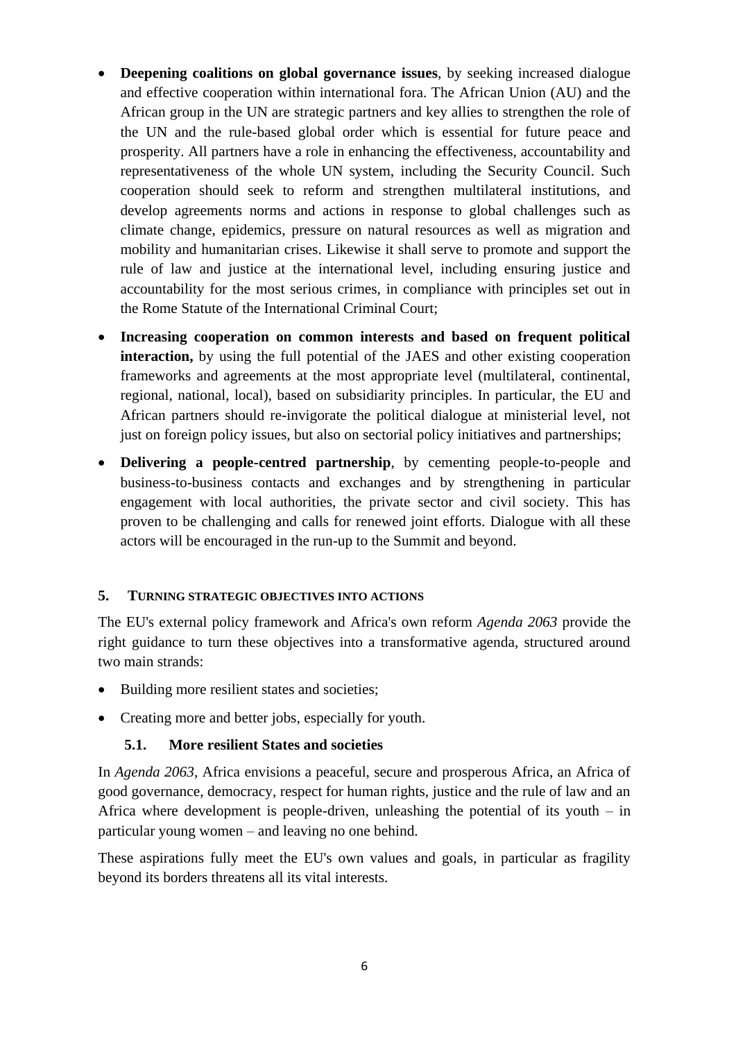- **Deepening coalitions on global governance issues**, by seeking increased dialogue and effective cooperation within international fora. The African Union (AU) and the African group in the UN are strategic partners and key allies to strengthen the role of the UN and the rule-based global order which is essential for future peace and prosperity. All partners have a role in enhancing the effectiveness, accountability and representativeness of the whole UN system, including the Security Council. Such cooperation should seek to reform and strengthen multilateral institutions, and develop agreements norms and actions in response to global challenges such as climate change, epidemics, pressure on natural resources as well as migration and mobility and humanitarian crises. Likewise it shall serve to promote and support the rule of law and justice at the international level, including ensuring justice and accountability for the most serious crimes, in compliance with principles set out in the Rome Statute of the International Criminal Court;
- **Increasing cooperation on common interests and based on frequent political interaction,** by using the full potential of the JAES and other existing cooperation frameworks and agreements at the most appropriate level (multilateral, continental, regional, national, local), based on subsidiarity principles. In particular, the EU and African partners should re-invigorate the political dialogue at ministerial level, not just on foreign policy issues, but also on sectorial policy initiatives and partnerships;
- **Delivering a people-centred partnership**, by cementing people-to-people and business-to-business contacts and exchanges and by strengthening in particular engagement with local authorities, the private sector and civil society. This has proven to be challenging and calls for renewed joint efforts. Dialogue with all these actors will be encouraged in the run-up to the Summit and beyond.

#### <span id="page-5-0"></span>**5. TURNING STRATEGIC OBJECTIVES INTO ACTIONS**

The EU's external policy framework and Africa's own reform *Agenda 2063* provide the right guidance to turn these objectives into a transformative agenda, structured around two main strands:

- Building more resilient states and societies;
- <span id="page-5-1"></span>• Creating more and better jobs, especially for youth.

#### **5.1. More resilient States and societies**

In *Agenda 2063*, Africa envisions a peaceful, secure and prosperous Africa, an Africa of good governance, democracy, respect for human rights, justice and the rule of law and an Africa where development is people-driven, unleashing the potential of its youth  $-$  in particular young women – and leaving no one behind.

These aspirations fully meet the EU's own values and goals, in particular as fragility beyond its borders threatens all its vital interests.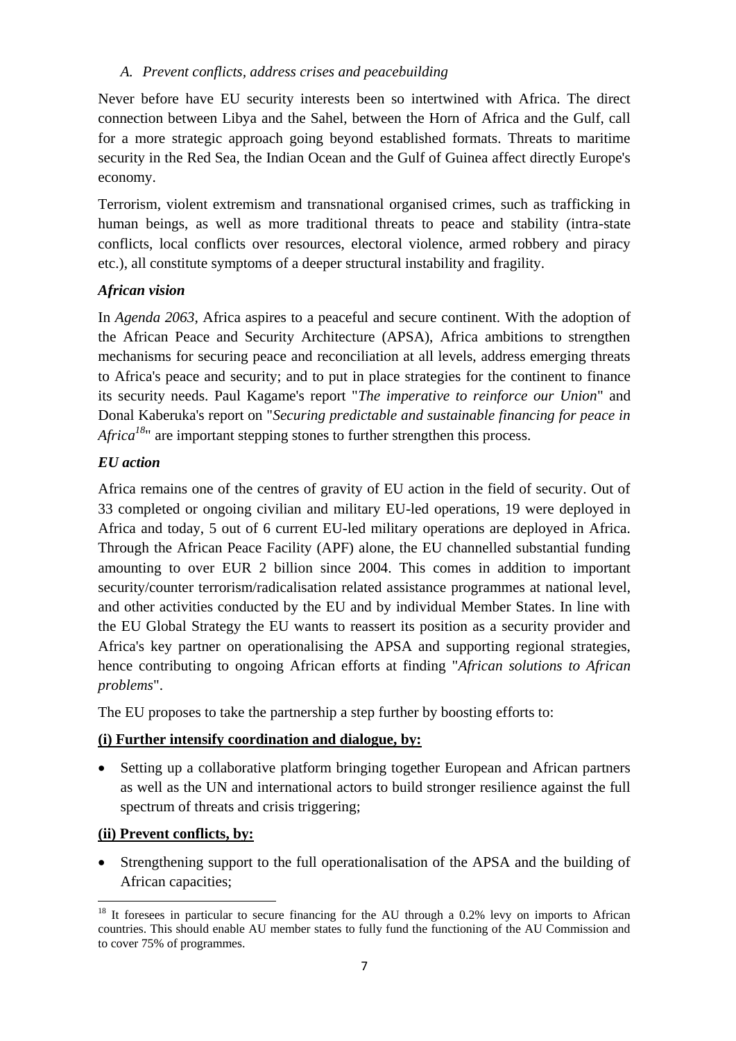### <span id="page-6-0"></span>*A. Prevent conflicts, address crises and peacebuilding*

Never before have EU security interests been so intertwined with Africa. The direct connection between Libya and the Sahel, between the Horn of Africa and the Gulf, call for a more strategic approach going beyond established formats. Threats to maritime security in the Red Sea, the Indian Ocean and the Gulf of Guinea affect directly Europe's economy.

Terrorism, violent extremism and transnational organised crimes, such as trafficking in human beings, as well as more traditional threats to peace and stability (intra-state conflicts, local conflicts over resources, electoral violence, armed robbery and piracy etc.), all constitute symptoms of a deeper structural instability and fragility.

## *African vision*

In *Agenda 2063*, Africa aspires to a peaceful and secure continent. With the adoption of the African Peace and Security Architecture (APSA), Africa ambitions to strengthen mechanisms for securing peace and reconciliation at all levels, address emerging threats to Africa's peace and security; and to put in place strategies for the continent to finance its security needs. Paul Kagame's report "*The imperative to reinforce our Union*" and Donal Kaberuka's report on "*Securing predictable and sustainable financing for peace in Africa*<sup>18</sup>" are important stepping stones to further strengthen this process.

## *EU action*

Africa remains one of the centres of gravity of EU action in the field of security. Out of 33 completed or ongoing civilian and military EU-led operations, 19 were deployed in Africa and today, 5 out of 6 current EU-led military operations are deployed in Africa. Through the African Peace Facility (APF) alone, the EU channelled substantial funding amounting to over EUR 2 billion since 2004. This comes in addition to important security/counter terrorism/radicalisation related assistance programmes at national level, and other activities conducted by the EU and by individual Member States. In line with the EU Global Strategy the EU wants to reassert its position as a security provider and Africa's key partner on operationalising the APSA and supporting regional strategies, hence contributing to ongoing African efforts at finding "*African solutions to African problems*".

The EU proposes to take the partnership a step further by boosting efforts to:

#### **(i) Further intensify coordination and dialogue, by:**

 Setting up a collaborative platform bringing together European and African partners as well as the UN and international actors to build stronger resilience against the full spectrum of threats and crisis triggering;

#### **(ii) Prevent conflicts, by:**

 Strengthening support to the full operationalisation of the APSA and the building of African capacities;

 $\ddot{\phantom{a}}$ <sup>18</sup> It foresees in particular to secure financing for the AU through a 0.2% levy on imports to African countries. This should enable AU member states to fully fund the functioning of the AU Commission and to cover 75% of programmes.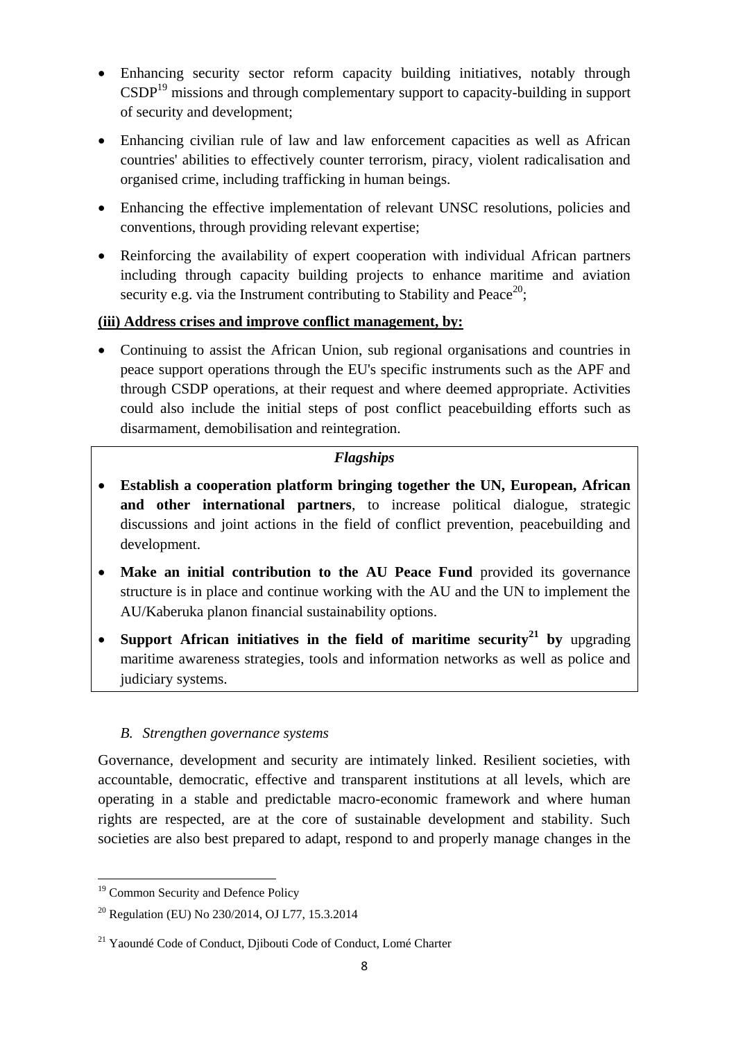- Enhancing security sector reform capacity building initiatives, notably through  $CSDP<sup>19</sup>$  missions and through complementary support to capacity-building in support of security and development;
- Enhancing civilian rule of law and law enforcement capacities as well as African countries' abilities to effectively counter terrorism, piracy, violent radicalisation and organised crime, including trafficking in human beings.
- Enhancing the effective implementation of relevant UNSC resolutions, policies and conventions, through providing relevant expertise;
- Reinforcing the availability of expert cooperation with individual African partners including through capacity building projects to enhance maritime and aviation security e.g. via the Instrument contributing to Stability and Peace<sup>20</sup>;

## **(iii) Address crises and improve conflict management, by:**

 Continuing to assist the African Union, sub regional organisations and countries in peace support operations through the EU's specific instruments such as the APF and through CSDP operations, at their request and where deemed appropriate. Activities could also include the initial steps of post conflict peacebuilding efforts such as disarmament, demobilisation and reintegration.

## *Flagships*

- **Establish a cooperation platform bringing together the UN, European, African and other international partners**, to increase political dialogue, strategic discussions and joint actions in the field of conflict prevention, peacebuilding and development.
- **Make an initial contribution to the AU Peace Fund** provided its governance structure is in place and continue working with the AU and the UN to implement the AU/Kaberuka planon financial sustainability options.
- **Support African initiatives in the field of maritime security<sup>21</sup> by** upgrading maritime awareness strategies, tools and information networks as well as police and judiciary systems.

#### <span id="page-7-0"></span>*B. Strengthen governance systems*

Governance, development and security are intimately linked. Resilient societies, with accountable, democratic, effective and transparent institutions at all levels, which are operating in a stable and predictable macro-economic framework and where human rights are respected, are at the core of sustainable development and stability. Such societies are also best prepared to adapt, respond to and properly manage changes in the

 $\ddot{\phantom{a}}$ <sup>19</sup> Common Security and Defence Policy

<sup>20</sup> Regulation (EU) No 230/2014, OJ L77, 15.3.2014

<sup>&</sup>lt;sup>21</sup> Yaoundé Code of Conduct, Djibouti Code of Conduct, Lomé Charter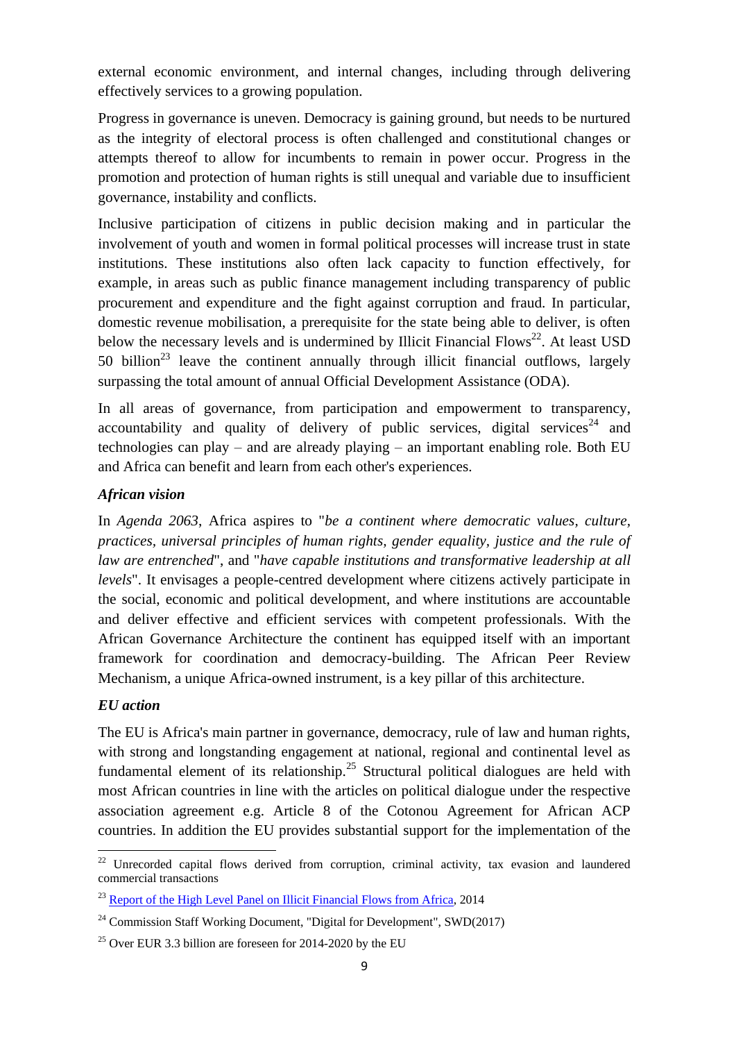external economic environment, and internal changes, including through delivering effectively services to a growing population.

Progress in governance is uneven. Democracy is gaining ground, but needs to be nurtured as the integrity of electoral process is often challenged and constitutional changes or attempts thereof to allow for incumbents to remain in power occur. Progress in the promotion and protection of human rights is still unequal and variable due to insufficient governance, instability and conflicts.

Inclusive participation of citizens in public decision making and in particular the involvement of youth and women in formal political processes will increase trust in state institutions. These institutions also often lack capacity to function effectively, for example, in areas such as public finance management including transparency of public procurement and expenditure and the fight against corruption and fraud. In particular, domestic revenue mobilisation, a prerequisite for the state being able to deliver, is often below the necessary levels and is undermined by Illicit Financial Flows<sup>22</sup>. At least USD 50 billion<sup>23</sup> leave the continent annually through illicit financial outflows, largely surpassing the total amount of annual Official Development Assistance (ODA).

In all areas of governance, from participation and empowerment to transparency, accountability and quality of delivery of public services, digital services<sup>24</sup> and technologies can play – and are already playing – an important enabling role. Both EU and Africa can benefit and learn from each other's experiences.

#### *African vision*

In *Agenda 2063*, Africa aspires to "*be a continent where democratic values, culture, practices, universal principles of human rights, gender equality, justice and the rule of law are entrenched*", and "*have capable institutions and transformative leadership at all levels*". It envisages a people-centred development where citizens actively participate in the social, economic and political development, and where institutions are accountable and deliver effective and efficient services with competent professionals. With the African Governance Architecture the continent has equipped itself with an important framework for coordination and democracy-building. The African Peer Review Mechanism, a unique Africa-owned instrument, is a key pillar of this architecture.

#### *EU action*

 $\overline{a}$ 

The EU is Africa's main partner in governance, democracy, rule of law and human rights, with strong and longstanding engagement at national, regional and continental level as fundamental element of its relationship.<sup>25</sup> Structural political dialogues are held with most African countries in line with the articles on political dialogue under the respective association agreement e.g. Article 8 of the Cotonou Agreement for African ACP countries. In addition the EU provides substantial support for the implementation of the

 $22$  Unrecorded capital flows derived from corruption, criminal activity, tax evasion and laundered commercial transactions

<sup>&</sup>lt;sup>23</sup> Report of the High Level Panel [on Illicit Financial Flows from Africa,](http://www.uneca.org/sites/default/files/PublicationFiles/iff_main_report_26feb_en.pdf) 2014

<sup>&</sup>lt;sup>24</sup> Commission Staff Working Document, "Digital for Development", SWD(2017)

 $25$  Over EUR 3.3 billion are foreseen for 2014-2020 by the EU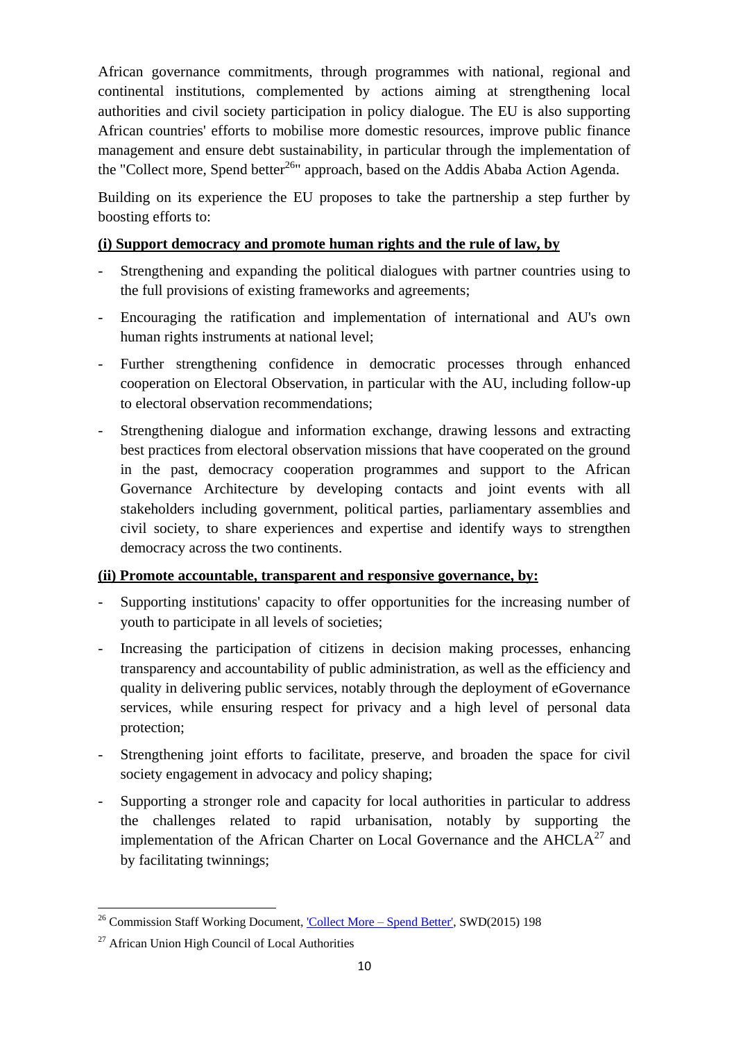African governance commitments, through programmes with national, regional and continental institutions, complemented by actions aiming at strengthening local authorities and civil society participation in policy dialogue. The EU is also supporting African countries' efforts to mobilise more domestic resources, improve public finance management and ensure debt sustainability, in particular through the implementation of the "Collect more, Spend better<sup>26</sup>" approach, based on the Addis Ababa Action Agenda.

Building on its experience the EU proposes to take the partnership a step further by boosting efforts to:

## **(i) Support democracy and promote human rights and the rule of law, by**

- Strengthening and expanding the political dialogues with partner countries using to the full provisions of existing frameworks and agreements;
- Encouraging the ratification and implementation of international and AU's own human rights instruments at national level;
- Further strengthening confidence in democratic processes through enhanced cooperation on Electoral Observation, in particular with the AU, including follow-up to electoral observation recommendations;
- Strengthening dialogue and information exchange, drawing lessons and extracting best practices from electoral observation missions that have cooperated on the ground in the past, democracy cooperation programmes and support to the African Governance Architecture by developing contacts and joint events with all stakeholders including government, political parties, parliamentary assemblies and civil society, to share experiences and expertise and identify ways to strengthen democracy across the two continents.

#### **(ii) Promote accountable, transparent and responsive governance, by:**

- Supporting institutions' capacity to offer opportunities for the increasing number of youth to participate in all levels of societies;
- Increasing the participation of citizens in decision making processes, enhancing transparency and accountability of public administration, as well as the efficiency and quality in delivering public services, notably through the deployment of eGovernance services, while ensuring respect for privacy and a high level of personal data protection;
- Strengthening joint efforts to facilitate, preserve, and broaden the space for civil society engagement in advocacy and policy shaping;
- Supporting a stronger role and capacity for local authorities in particular to address the challenges related to rapid urbanisation, notably by supporting the implementation of the African Charter on Local Governance and the  $A H CLA<sup>27</sup>$  and by facilitating twinnings;

 $\overline{a}$ <sup>26</sup> Commission Staff Working Document, <u>'Collect More – Spend Better'</u>, SWD(2015) 198

<sup>&</sup>lt;sup>27</sup> African Union High Council of Local Authorities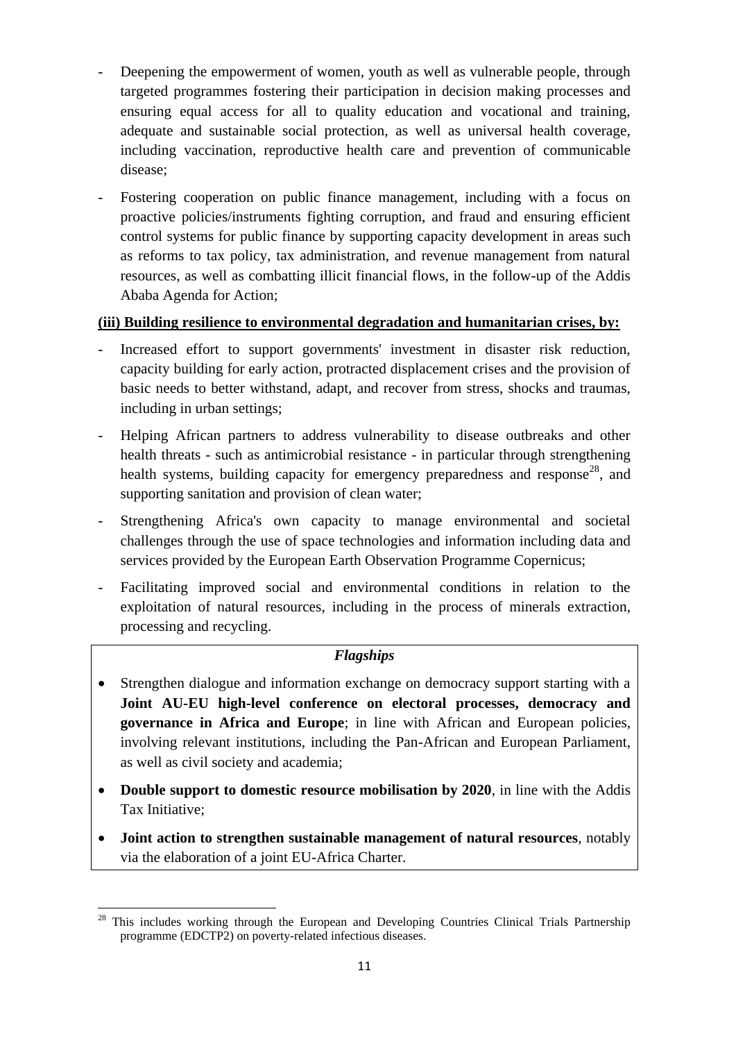- Deepening the empowerment of women, youth as well as vulnerable people, through targeted programmes fostering their participation in decision making processes and ensuring equal access for all to quality education and vocational and training, adequate and sustainable social protection, as well as universal health coverage, including vaccination, reproductive health care and prevention of communicable disease;
- Fostering cooperation on public finance management, including with a focus on proactive policies/instruments fighting corruption, and fraud and ensuring efficient control systems for public finance by supporting capacity development in areas such as reforms to tax policy, tax administration, and revenue management from natural resources, as well as combatting illicit financial flows, in the follow-up of the Addis Ababa Agenda for Action;

## **(iii) Building resilience to environmental degradation and humanitarian crises, by:**

- Increased effort to support governments' investment in disaster risk reduction, capacity building for early action, protracted displacement crises and the provision of basic needs to better withstand, adapt, and recover from stress, shocks and traumas, including in urban settings;
- Helping African partners to address vulnerability to disease outbreaks and other health threats - such as antimicrobial resistance - in particular through strengthening health systems, building capacity for emergency preparedness and response<sup>28</sup>, and supporting sanitation and provision of clean water;
- Strengthening Africa's own capacity to manage environmental and societal challenges through the use of space technologies and information including data and services provided by the European Earth Observation Programme Copernicus;
- Facilitating improved social and environmental conditions in relation to the exploitation of natural resources, including in the process of minerals extraction, processing and recycling.

## *Flagships*

- Strengthen dialogue and information exchange on democracy support starting with a **Joint AU-EU high-level conference on electoral processes, democracy and governance in Africa and Europe**; in line with African and European policies, involving relevant institutions, including the Pan-African and European Parliament, as well as civil society and academia;
- **Double support to domestic resource mobilisation by 2020**, in line with the Addis Tax Initiative;
- **Joint action to strengthen sustainable management of natural resources**, notably via the elaboration of a joint EU-Africa Charter.

 $\overline{a}$  $28$  This includes working through the European and Developing Countries Clinical Trials Partnership programme (EDCTP2) on poverty-related infectious diseases.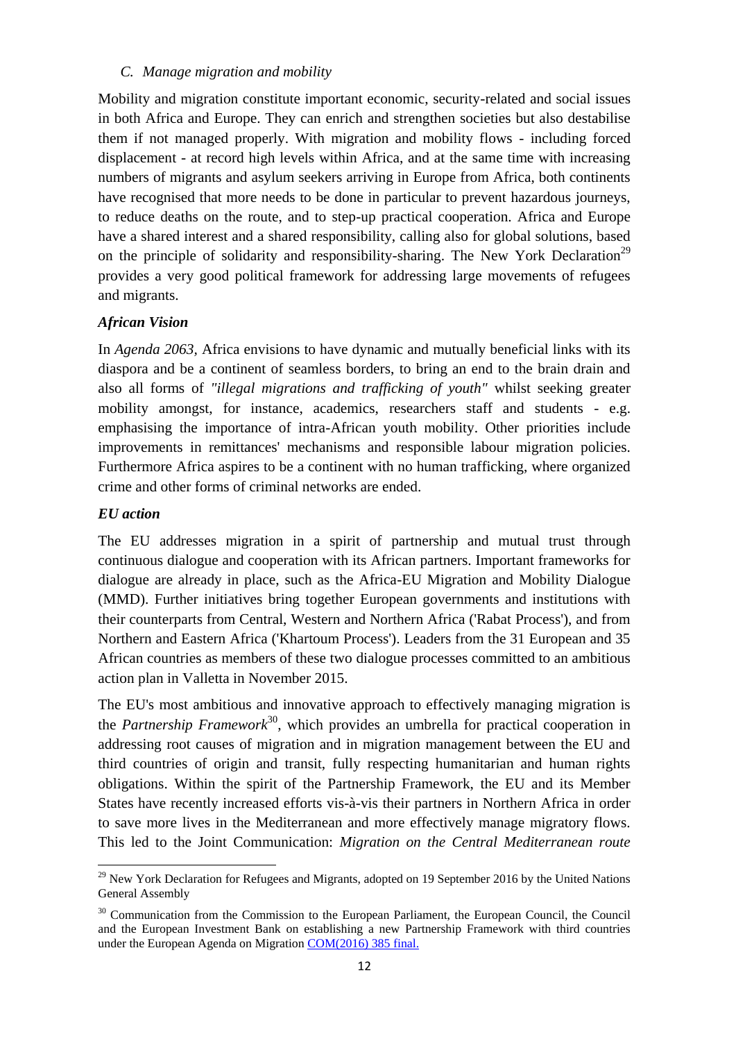#### <span id="page-11-0"></span>*C. Manage migration and mobility*

Mobility and migration constitute important economic, security-related and social issues in both Africa and Europe. They can enrich and strengthen societies but also destabilise them if not managed properly. With migration and mobility flows - including forced displacement - at record high levels within Africa, and at the same time with increasing numbers of migrants and asylum seekers arriving in Europe from Africa, both continents have recognised that more needs to be done in particular to prevent hazardous journeys, to reduce deaths on the route, and to step-up practical cooperation. Africa and Europe have a shared interest and a shared responsibility, calling also for global solutions, based on the principle of solidarity and responsibility-sharing. The New York Declaration<sup>29</sup> provides a very good political framework for addressing large movements of refugees and migrants.

#### *African Vision*

In *Agenda 2063,* Africa envisions to have dynamic and mutually beneficial links with its diaspora and be a continent of seamless borders, to bring an end to the brain drain and also all forms of *"illegal migrations and trafficking of youth"* whilst seeking greater mobility amongst, for instance, academics, researchers staff and students - e.g. emphasising the importance of intra-African youth mobility. Other priorities include improvements in remittances' mechanisms and responsible labour migration policies. Furthermore Africa aspires to be a continent with no human trafficking, where organized crime and other forms of criminal networks are ended.

#### *EU action*

 $\overline{a}$ 

The EU addresses migration in a spirit of partnership and mutual trust through continuous dialogue and cooperation with its African partners. Important frameworks for dialogue are already in place, such as the Africa-EU Migration and Mobility Dialogue (MMD). Further initiatives bring together European governments and institutions with their counterparts from Central, Western and Northern Africa ('Rabat Process'), and from Northern and Eastern Africa ('Khartoum Process'). Leaders from the 31 European and 35 African countries as members of these two dialogue processes committed to an ambitious action plan in Valletta in November 2015.

The EU's most ambitious and innovative approach to effectively managing migration is the *Partnership Framework*<sup>30</sup>, which provides an umbrella for practical cooperation in addressing root causes of migration and in migration management between the EU and third countries of origin and transit, fully respecting humanitarian and human rights obligations. Within the spirit of the Partnership Framework, the EU and its Member States have recently increased efforts vis-à-vis their partners in Northern Africa in order to save more lives in the Mediterranean and more effectively manage migratory flows. This led to the Joint Communication: *Migration on the Central Mediterranean route* 

 $^{29}$  New York Declaration for Refugees and Migrants, adopted on 19 September 2016 by the United Nations General Assembly

<sup>&</sup>lt;sup>30</sup> Communication from the Commission to the European Parliament, the European Council, the Council and the European Investment Bank on establishing a new Partnership Framework with third countries under the European Agenda on Migratio[n COM\(2016\) 385 final.](http://ec.europa.eu/dgs/home-affairs/what-we-do/policies/european-agenda-migration/proposal-implementation-package/docs/20160607/communication_external_aspects_eam_towards_new_migration_ompact_en.pdf)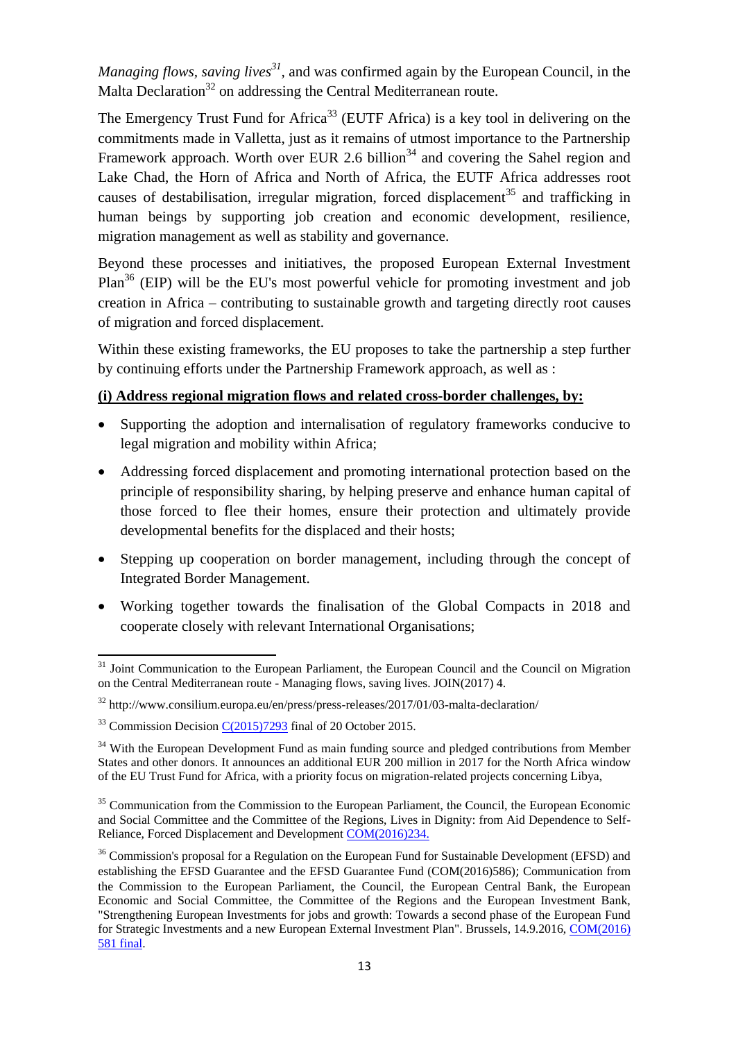*Managing flows, saving lives*<sup>31</sup>, and was confirmed again by the European Council, in the Malta Declaration<sup>32</sup> on addressing the Central Mediterranean route.

The Emergency Trust Fund for Africa<sup>33</sup> (EUTF Africa) is a key tool in delivering on the commitments made in Valletta, just as it remains of utmost importance to the Partnership Framework approach. Worth over EUR 2.6 billion<sup>34</sup> and covering the Sahel region and Lake Chad, the Horn of Africa and North of Africa, the EUTF Africa addresses root causes of destabilisation, irregular migration, forced displacement<sup>35</sup> and trafficking in human beings by supporting job creation and economic development, resilience, migration management as well as stability and governance.

Beyond these processes and initiatives, the proposed European External Investment  $Plan<sup>36</sup>$  (EIP) will be the EU's most powerful vehicle for promoting investment and job creation in Africa – contributing to sustainable growth and targeting directly root causes of migration and forced displacement.

Within these existing frameworks, the EU proposes to take the partnership a step further by continuing efforts under the Partnership Framework approach, as well as :

#### **(i) Address regional migration flows and related cross-border challenges, by:**

- Supporting the adoption and internalisation of regulatory frameworks conducive to legal migration and mobility within Africa;
- Addressing forced displacement and promoting international protection based on the principle of responsibility sharing, by helping preserve and enhance human capital of those forced to flee their homes, ensure their protection and ultimately provide developmental benefits for the displaced and their hosts;
- Stepping up cooperation on border management, including through the concept of Integrated Border Management.
- Working together towards the finalisation of the Global Compacts in 2018 and cooperate closely with relevant International Organisations;

 $\ddot{\phantom{a}}$ <sup>31</sup> Joint Communication to the European Parliament, the European Council and the Council on Migration on the Central Mediterranean route - Managing flows, saving lives. JOIN(2017) 4.

<sup>32</sup> http://www.consilium.europa.eu/en/press/press-releases/2017/01/03-malta-declaration/

 $33$  Commission Decisio[n C\(2015\)7293](https://ec.europa.eu/europeaid/sites/devco/files/commission-decision-2015-7293-20151020_en.pdf) final of 20 October 2015.

<sup>&</sup>lt;sup>34</sup> With the European Development Fund as main funding source and pledged contributions from Member States and other donors. It announces an additional EUR 200 million in 2017 for the North Africa window of the EU Trust Fund for Africa, with a priority focus on migration-related projects concerning Libya,

<sup>&</sup>lt;sup>35</sup> Communication from the Commission to the European Parliament, the Council, the European Economic and Social Committee and the Committee of the Regions, Lives in Dignity: from Aid Dependence to Self-Reliance, Forced Displacement and Development [COM\(2016\)234.](http://ec.europa.eu/echo/files/policies/refugees-idp/Communication_Forced_Displacement_Development_2016.pdf)

<sup>&</sup>lt;sup>36</sup> Commission's proposal for a Regulation on the European Fund for Sustainable Development (EFSD) and establishing the EFSD Guarantee and the EFSD Guarantee Fund (COM(2016)586); Communication from the Commission to the European Parliament, the Council, the European Central Bank, the European Economic and Social Committee, the Committee of the Regions and the European Investment Bank, "Strengthening European Investments for jobs and growth: Towards a second phase of the European Fund for Strategic Investments and a new European External Investment Plan". Brussels, 14.9.2016, [COM\(2016\)](https://eeas.europa.eu/sites/eeas/files/commission_communication_-_strengthening_european_investments_for_jobs_and_growth_-_towards_a_second_phase_of_the_european_fund_for_strategic_investments_and_a_new_european_external_investment_plan.pdf)  [581 final.](https://eeas.europa.eu/sites/eeas/files/commission_communication_-_strengthening_european_investments_for_jobs_and_growth_-_towards_a_second_phase_of_the_european_fund_for_strategic_investments_and_a_new_european_external_investment_plan.pdf)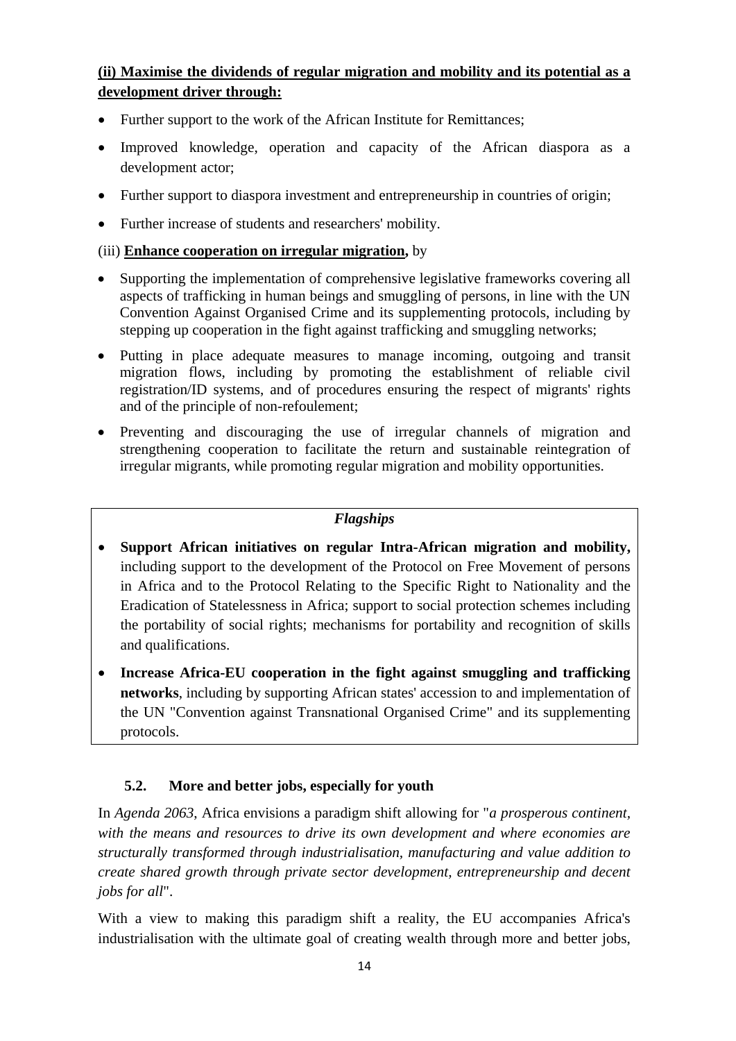## **(ii) Maximise the dividends of regular migration and mobility and its potential as a development driver through:**

- Further support to the work of the African Institute for Remittances;
- Improved knowledge, operation and capacity of the African diaspora as a development actor;
- Further support to diaspora investment and entrepreneurship in countries of origin;
- Further increase of students and researchers' mobility.

#### (iii) **Enhance cooperation on irregular migration,** by

- Supporting the implementation of comprehensive legislative frameworks covering all aspects of trafficking in human beings and smuggling of persons, in line with the UN Convention Against Organised Crime and its supplementing protocols, including by stepping up cooperation in the fight against trafficking and smuggling networks;
- Putting in place adequate measures to manage incoming, outgoing and transit migration flows, including by promoting the establishment of reliable civil registration/ID systems, and of procedures ensuring the respect of migrants' rights and of the principle of non-refoulement;
- Preventing and discouraging the use of irregular channels of migration and strengthening cooperation to facilitate the return and sustainable reintegration of irregular migrants, while promoting regular migration and mobility opportunities.

#### *Flagships*

- **Support African initiatives on regular Intra-African migration and mobility,**  including support to the development of the Protocol on Free Movement of persons in Africa and to the Protocol Relating to the Specific Right to Nationality and the Eradication of Statelessness in Africa; support to social protection schemes including the portability of social rights; mechanisms for portability and recognition of skills and qualifications.
- **Increase Africa-EU cooperation in the fight against smuggling and trafficking networks**, including by supporting African states' accession to and implementation of the UN "Convention against Transnational Organised Crime" and its supplementing protocols.

## **5.2. More and better jobs, especially for youth**

<span id="page-13-0"></span>In *Agenda 2063*, Africa envisions a paradigm shift allowing for "*a prosperous continent, with the means and resources to drive its own development and where economies are structurally transformed through industrialisation, manufacturing and value addition to create shared growth through private sector development, entrepreneurship and decent jobs for all*".

With a view to making this paradigm shift a reality, the EU accompanies Africa's industrialisation with the ultimate goal of creating wealth through more and better jobs,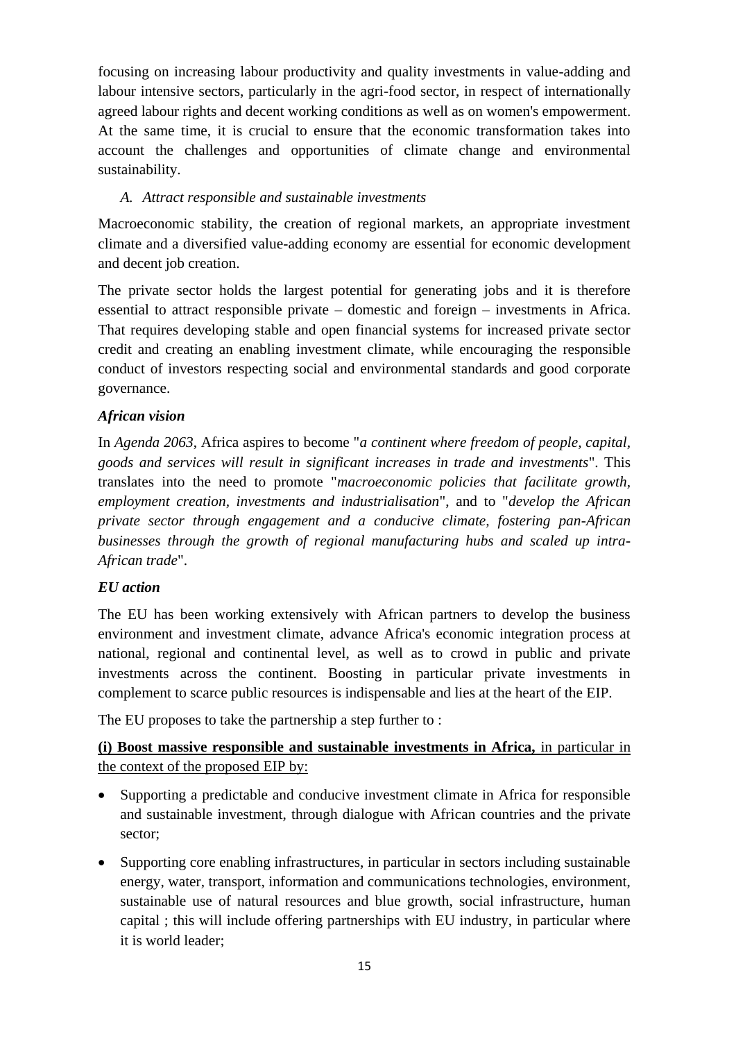focusing on increasing labour productivity and quality investments in value-adding and labour intensive sectors, particularly in the agri-food sector, in respect of internationally agreed labour rights and decent working conditions as well as on women's empowerment. At the same time, it is crucial to ensure that the economic transformation takes into account the challenges and opportunities of climate change and environmental sustainability.

## <span id="page-14-0"></span>*A. Attract responsible and sustainable investments*

Macroeconomic stability, the creation of regional markets, an appropriate investment climate and a diversified value-adding economy are essential for economic development and decent job creation.

The private sector holds the largest potential for generating jobs and it is therefore essential to attract responsible private – domestic and foreign – investments in Africa. That requires developing stable and open financial systems for increased private sector credit and creating an enabling investment climate, while encouraging the responsible conduct of investors respecting social and environmental standards and good corporate governance.

## *African vision*

In *Agenda 2063*, Africa aspires to become "*a continent where freedom of people, capital, goods and services will result in significant increases in trade and investments*". This translates into the need to promote "*macroeconomic policies that facilitate growth, employment creation, investments and industrialisation*", and to "*develop the African private sector through engagement and a conducive climate, fostering pan-African businesses through the growth of regional manufacturing hubs and scaled up intra-African trade*".

#### *EU action*

The EU has been working extensively with African partners to develop the business environment and investment climate, advance Africa's economic integration process at national, regional and continental level, as well as to crowd in public and private investments across the continent. Boosting in particular private investments in complement to scarce public resources is indispensable and lies at the heart of the EIP.

The EU proposes to take the partnership a step further to :

## **(i) Boost massive responsible and sustainable investments in Africa,** in particular in the context of the proposed EIP by:

- Supporting a predictable and conducive investment climate in Africa for responsible and sustainable investment, through dialogue with African countries and the private sector;
- Supporting core enabling infrastructures, in particular in sectors including sustainable energy, water, transport, information and communications technologies, environment, sustainable use of natural resources and blue growth, social infrastructure, human capital ; this will include offering partnerships with EU industry, in particular where it is world leader;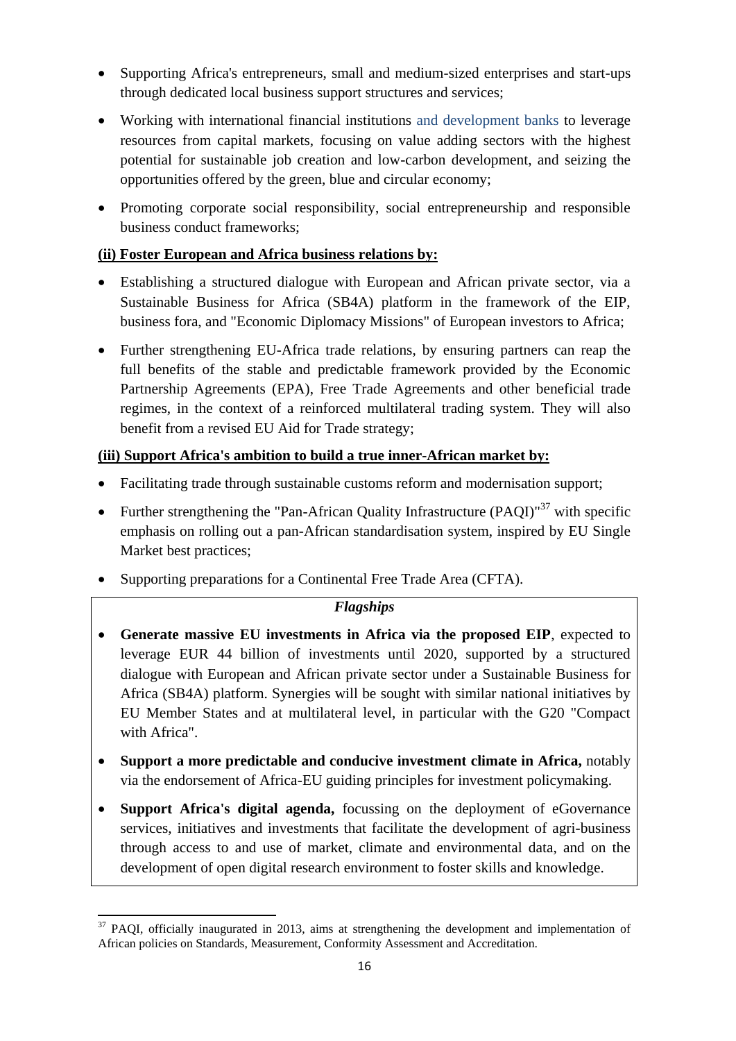- Supporting Africa's entrepreneurs, small and medium-sized enterprises and start-ups through dedicated local business support structures and services;
- Working with international financial institutions and development banks to leverage resources from capital markets, focusing on value adding sectors with the highest potential for sustainable job creation and low-carbon development, and seizing the opportunities offered by the green, blue and circular economy;
- Promoting corporate social responsibility, social entrepreneurship and responsible business conduct frameworks;

## **(ii) Foster European and Africa business relations by:**

- Establishing a structured dialogue with European and African private sector, via a Sustainable Business for Africa (SB4A) platform in the framework of the EIP, business fora, and "Economic Diplomacy Missions" of European investors to Africa;
- Further strengthening EU-Africa trade relations, by ensuring partners can reap the full benefits of the stable and predictable framework provided by the Economic Partnership Agreements (EPA), Free Trade Agreements and other beneficial trade regimes, in the context of a reinforced multilateral trading system. They will also benefit from a revised EU Aid for Trade strategy;

## **(iii) Support Africa's ambition to build a true inner-African market by:**

- Facilitating trade through sustainable customs reform and modernisation support;
- Further strengthening the "Pan-African Quality Infrastructure  $(PAOI)^{37}$  with specific emphasis on rolling out a pan-African standardisation system, inspired by EU Single Market best practices;
- Supporting preparations for a Continental Free Trade Area (CFTA).

#### *Flagships*

- **Generate massive EU investments in Africa via the proposed EIP**, expected to leverage EUR 44 billion of investments until 2020, supported by a structured dialogue with European and African private sector under a Sustainable Business for Africa (SB4A) platform. Synergies will be sought with similar national initiatives by EU Member States and at multilateral level, in particular with the G20 "Compact with Africa".
- **Support a more predictable and conducive investment climate in Africa,** notably via the endorsement of Africa-EU guiding principles for investment policymaking.
- **Support Africa's digital agenda,** focussing on the deployment of eGovernance services, initiatives and investments that facilitate the development of agri-business through access to and use of market, climate and environmental data, and on the development of open digital research environment to foster skills and knowledge.

 $\overline{a}$  $37$  PAQI, officially inaugurated in 2013, aims at strengthening the development and implementation of African policies on Standards, Measurement, Conformity Assessment and Accreditation.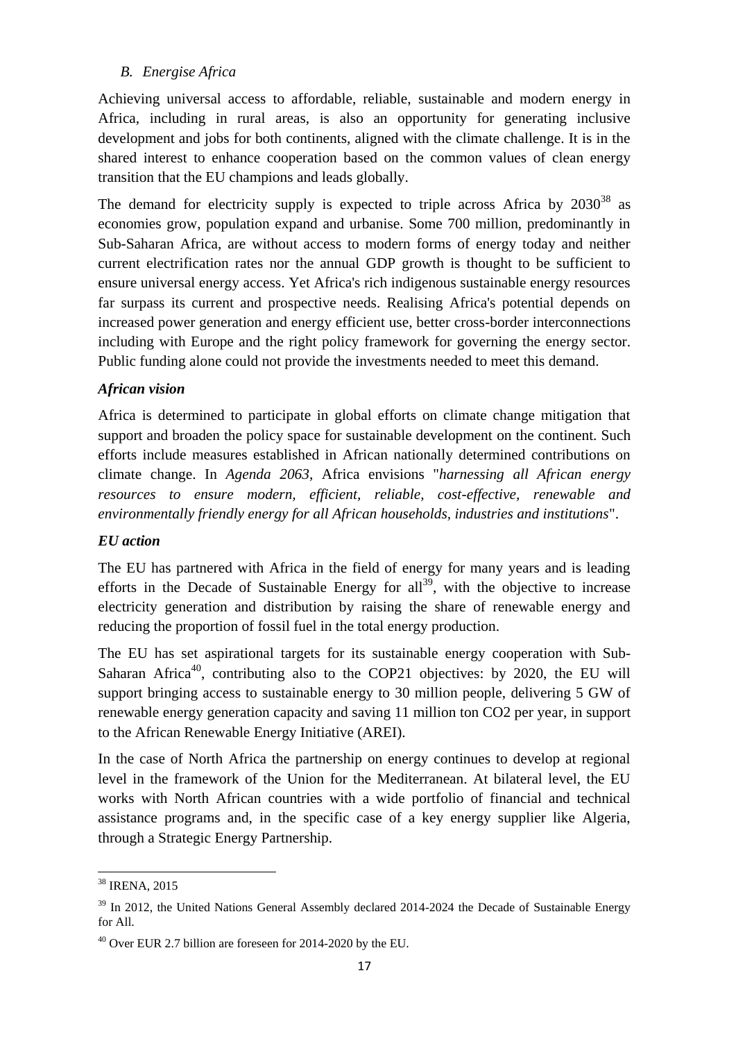## <span id="page-16-0"></span>*B. Energise Africa*

Achieving universal access to affordable, reliable, sustainable and modern energy in Africa, including in rural areas, is also an opportunity for generating inclusive development and jobs for both continents, aligned with the climate challenge. It is in the shared interest to enhance cooperation based on the common values of clean energy transition that the EU champions and leads globally.

The demand for electricity supply is expected to triple across Africa by  $2030^{38}$  as economies grow, population expand and urbanise. Some 700 million, predominantly in Sub-Saharan Africa, are without access to modern forms of energy today and neither current electrification rates nor the annual GDP growth is thought to be sufficient to ensure universal energy access. Yet Africa's rich indigenous sustainable energy resources far surpass its current and prospective needs. Realising Africa's potential depends on increased power generation and energy efficient use, better cross-border interconnections including with Europe and the right policy framework for governing the energy sector. Public funding alone could not provide the investments needed to meet this demand.

## *African vision*

Africa is determined to participate in global efforts on climate change mitigation that support and broaden the policy space for sustainable development on the continent. Such efforts include measures established in African nationally determined contributions on climate change. In *Agenda 2063*, Africa envisions "*harnessing all African energy resources to ensure modern, efficient, reliable, cost-effective, renewable and environmentally friendly energy for all African households, industries and institutions*".

#### *EU action*

The EU has partnered with Africa in the field of energy for many years and is leading efforts in the Decade of Sustainable Energy for all<sup>39</sup>, with the objective to increase electricity generation and distribution by raising the share of renewable energy and reducing the proportion of fossil fuel in the total energy production.

The EU has set aspirational targets for its sustainable energy cooperation with Sub-Saharan Africa<sup>40</sup>, contributing also to the COP21 objectives: by 2020, the EU will support bringing access to sustainable energy to 30 million people, delivering 5 GW of renewable energy generation capacity and saving 11 million ton CO2 per year, in support to the African Renewable Energy Initiative (AREI).

In the case of North Africa the partnership on energy continues to develop at regional level in the framework of the Union for the Mediterranean. At bilateral level, the EU works with North African countries with a wide portfolio of financial and technical assistance programs and, in the specific case of a key energy supplier like Algeria, through a Strategic Energy Partnership.

 $\overline{a}$ <sup>38</sup> IRENA, 2015

<sup>&</sup>lt;sup>39</sup> In 2012, the United Nations General Assembly declared 2014-2024 the Decade of Sustainable Energy for All.

 $^{40}$  Over EUR 2.7 billion are foreseen for 2014-2020 by the EU.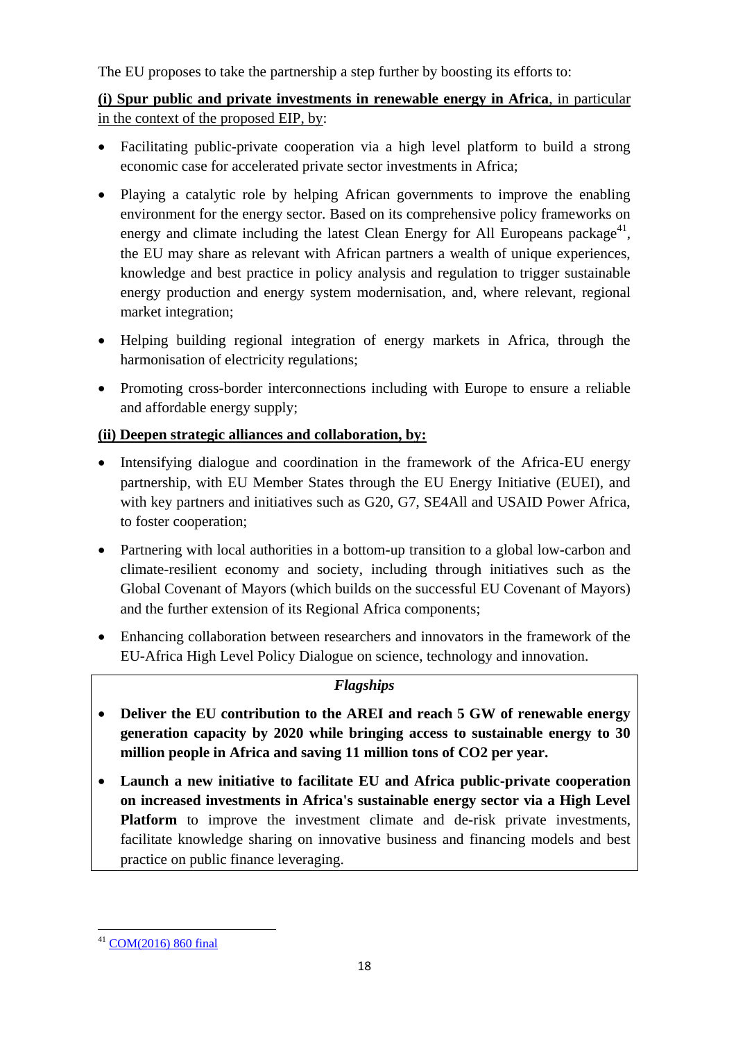The EU proposes to take the partnership a step further by boosting its efforts to:

**(i) Spur public and private investments in renewable energy in Africa**, in particular in the context of the proposed EIP, by:

- Facilitating public-private cooperation via a high level platform to build a strong economic case for accelerated private sector investments in Africa;
- Playing a catalytic role by helping African governments to improve the enabling environment for the energy sector. Based on its comprehensive policy frameworks on energy and climate including the latest Clean Energy for All Europeans package<sup>41</sup>, the EU may share as relevant with African partners a wealth of unique experiences, knowledge and best practice in policy analysis and regulation to trigger sustainable energy production and energy system modernisation, and, where relevant, regional market integration;
- Helping building regional integration of energy markets in Africa, through the harmonisation of electricity regulations;
- Promoting cross-border interconnections including with Europe to ensure a reliable and affordable energy supply;

# **(ii) Deepen strategic alliances and collaboration, by:**

- Intensifying dialogue and coordination in the framework of the Africa-EU energy partnership, with EU Member States through the EU Energy Initiative (EUEI), and with key partners and initiatives such as G20, G7, SE4All and USAID Power Africa, to foster cooperation;
- Partnering with local authorities in a bottom-up transition to a global low-carbon and climate-resilient economy and society, including through initiatives such as the Global Covenant of Mayors (which builds on the successful EU Covenant of Mayors) and the further extension of its Regional Africa components;
- Enhancing collaboration between researchers and innovators in the framework of the EU-Africa High Level Policy Dialogue on science, technology and innovation.

# *Flagships*

- **Deliver the EU contribution to the AREI and reach 5 GW of renewable energy generation capacity by 2020 while bringing access to sustainable energy to 30 million people in Africa and saving 11 million tons of CO2 per year.**
- **Launch a new initiative to facilitate EU and Africa public-private cooperation on increased investments in Africa's sustainable energy sector via a High Level Platform** to improve the investment climate and de-risk private investments, facilitate knowledge sharing on innovative business and financing models and best practice on public finance leveraging.

 $\overline{a}$ [COM\(2016\) 860 final](http://eur-lex.europa.eu/resource.html?uri=cellar:fa6ea15b-b7b0-11e6-9e3c-01aa75ed71a1.0001.02/DOC_1&format=PDF)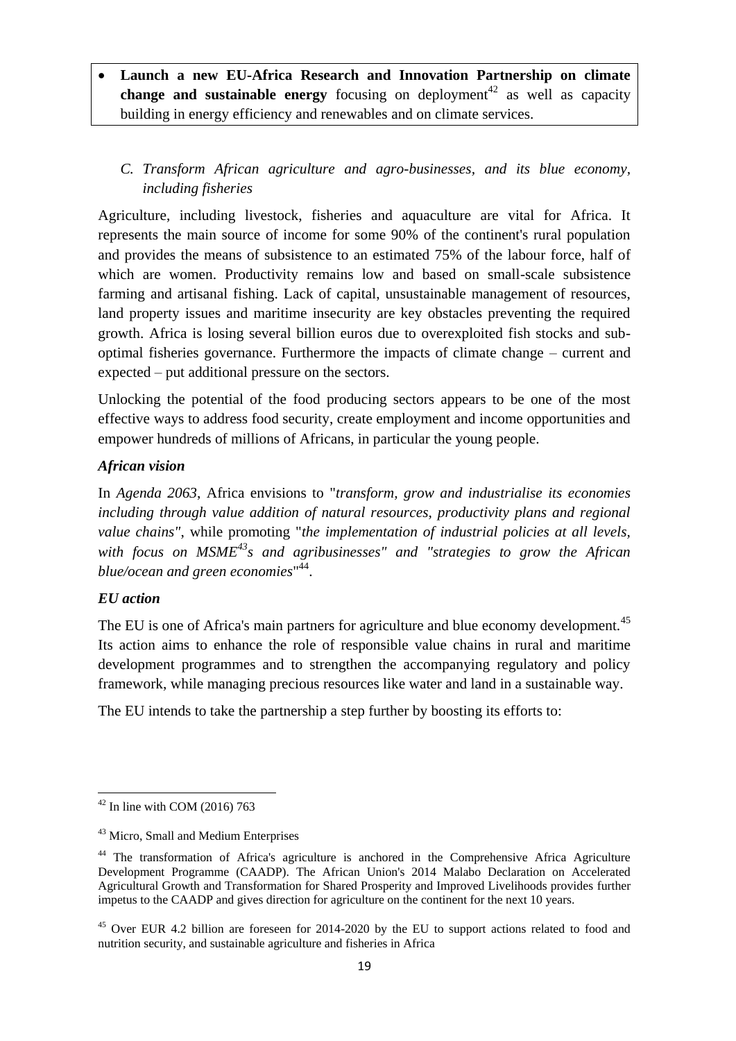**Launch a new EU-Africa Research and Innovation Partnership on climate change and sustainable energy** focusing on deployment<sup>42</sup> as well as capacity building in energy efficiency and renewables and on climate services.

# <span id="page-18-0"></span>*C. Transform African agriculture and agro-businesses, and its blue economy, including fisheries*

Agriculture, including livestock, fisheries and aquaculture are vital for Africa. It represents the main source of income for some 90% of the continent's rural population and provides the means of subsistence to an estimated 75% of the labour force, half of which are women. Productivity remains low and based on small-scale subsistence farming and artisanal fishing. Lack of capital, unsustainable management of resources, land property issues and maritime insecurity are key obstacles preventing the required growth. Africa is losing several billion euros due to overexploited fish stocks and suboptimal fisheries governance. Furthermore the impacts of climate change – current and expected – put additional pressure on the sectors.

Unlocking the potential of the food producing sectors appears to be one of the most effective ways to address food security, create employment and income opportunities and empower hundreds of millions of Africans, in particular the young people.

## *African vision*

In *Agenda 2063*, Africa envisions to "*transform, grow and industrialise its economies including through value addition of natural resources, productivity plans and regional value chains"*, while promoting "*the implementation of industrial policies at all levels, with focus on MSME<sup>43</sup> s and agribusinesses" and "strategies to grow the African blue/ocean and green economies*" 44 .

#### *EU action*

The EU is one of Africa's main partners for agriculture and blue economy development.<sup>45</sup> Its action aims to enhance the role of responsible value chains in rural and maritime development programmes and to strengthen the accompanying regulatory and policy framework, while managing precious resources like water and land in a sustainable way.

The EU intends to take the partnership a step further by boosting its efforts to:

 $\overline{a}$  $42$  In line with COM (2016) 763

<sup>43</sup> Micro, Small and Medium Enterprises

<sup>&</sup>lt;sup>44</sup> The transformation of Africa's agriculture is anchored in the Comprehensive Africa Agriculture Development Programme (CAADP). The African Union's 2014 Malabo Declaration on Accelerated Agricultural Growth and Transformation for Shared Prosperity and Improved Livelihoods provides further impetus to the CAADP and gives direction for agriculture on the continent for the next 10 years.

<sup>&</sup>lt;sup>45</sup> Over EUR 4.2 billion are foreseen for 2014-2020 by the EU to support actions related to food and nutrition security, and sustainable agriculture and fisheries in Africa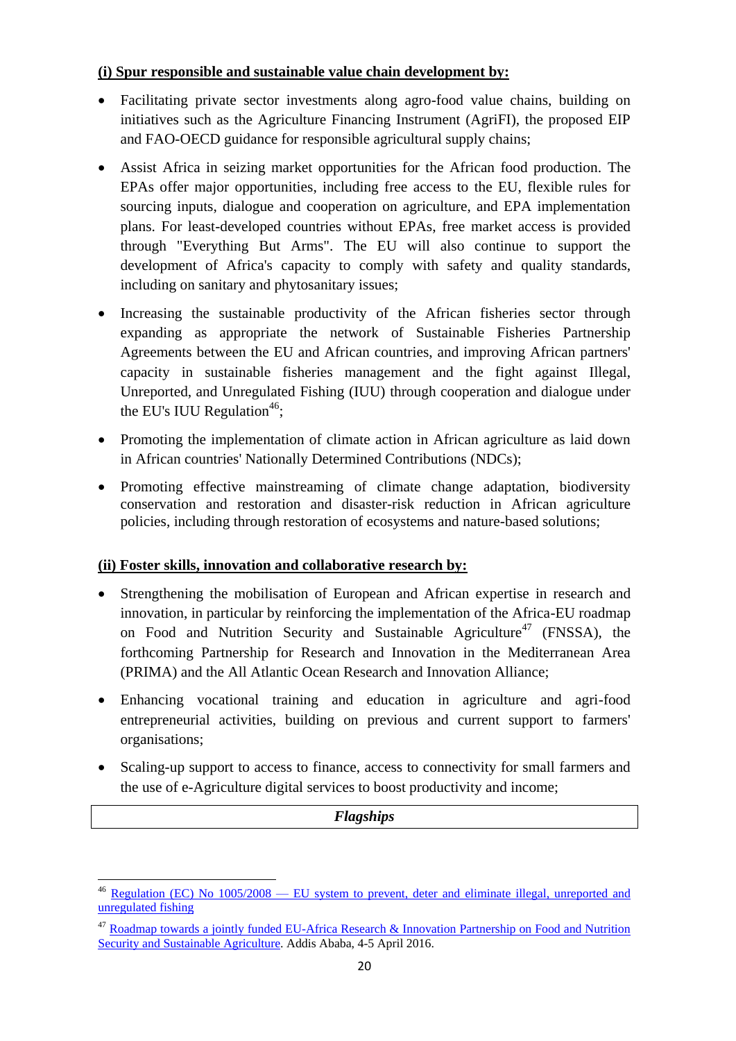## **(i) Spur responsible and sustainable value chain development by:**

- Facilitating private sector investments along agro-food value chains, building on initiatives such as the Agriculture Financing Instrument (AgriFI), the proposed EIP and FAO-OECD guidance for responsible agricultural supply chains;
- Assist Africa in seizing market opportunities for the African food production. The EPAs offer major opportunities, including free access to the EU, flexible rules for sourcing inputs, dialogue and cooperation on agriculture, and EPA implementation plans. For least-developed countries without EPAs, free market access is provided through "Everything But Arms". The EU will also continue to support the development of Africa's capacity to comply with safety and quality standards, including on sanitary and phytosanitary issues;
- Increasing the sustainable productivity of the African fisheries sector through expanding as appropriate the network of Sustainable Fisheries Partnership Agreements between the EU and African countries, and improving African partners' capacity in sustainable fisheries management and the fight against Illegal, Unreported, and Unregulated Fishing (IUU) through cooperation and dialogue under the EU's IUU Regulation<sup>46</sup>;
- Promoting the implementation of climate action in African agriculture as laid down in African countries' Nationally Determined Contributions (NDCs);
- Promoting effective mainstreaming of climate change adaptation, biodiversity conservation and restoration and disaster-risk reduction in African agriculture policies, including through restoration of ecosystems and nature-based solutions;

## **(ii) Foster skills, innovation and collaborative research by:**

- Strengthening the mobilisation of European and African expertise in research and innovation, in particular by reinforcing the implementation of the Africa-EU roadmap on Food and Nutrition Security and Sustainable Agriculture<sup>47</sup> (FNSSA), the forthcoming Partnership for Research and Innovation in the Mediterranean Area (PRIMA) and the All Atlantic Ocean Research and Innovation Alliance;
- Enhancing vocational training and education in agriculture and agri-food entrepreneurial activities, building on previous and current support to farmers' organisations;
- Scaling-up support to access to finance, access to connectivity for small farmers and the use of e-Agriculture digital services to boost productivity and income;

#### *Flagships*

 $\overline{a}$  $^{46}$  Regulation (EC) No 1005/2008 — EU system to prevent, deter and eliminate illegal, unreported and [unregulated fishing](http://eur-lex.europa.eu/legal-content/EN/AUTO/?uri=celex:32008R1005)

<sup>&</sup>lt;sup>47</sup> Roadmap towards a jointly funded EU-Africa Research & Innovation Partnership on Food and Nutrition [Security and Sustainable Agriculture.](https://ec.europa.eu/research/iscp/pdf/policy/eu-africa_roadmap_2016.pdf) Addis Ababa, 4-5 April 2016.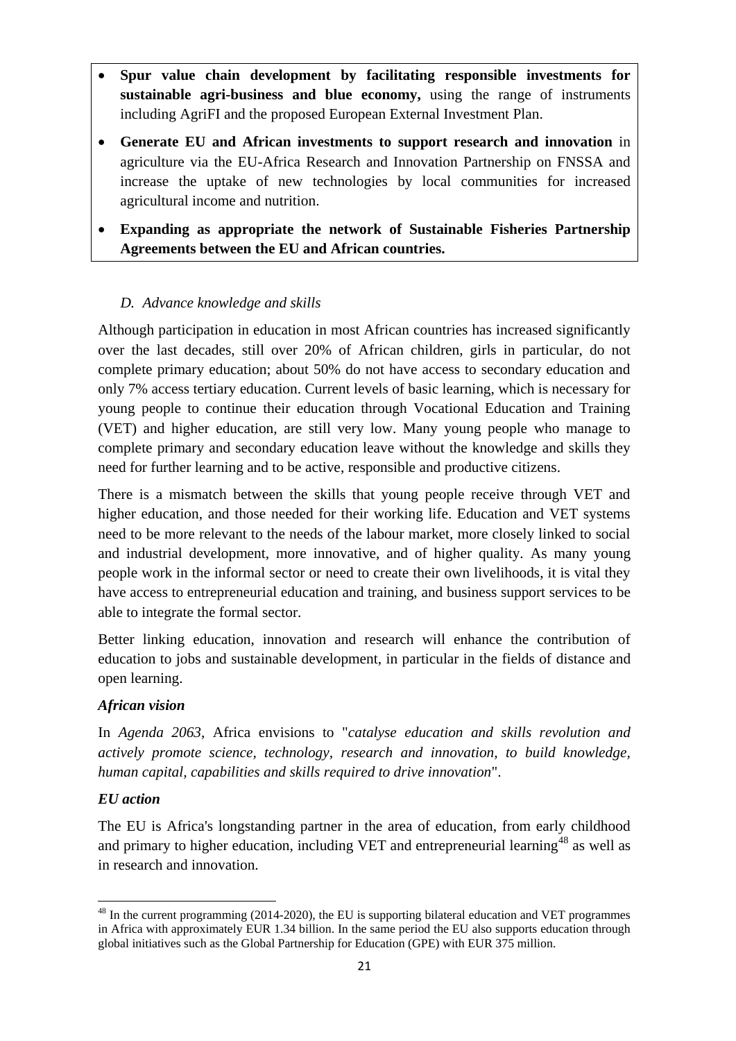- **Spur value chain development by facilitating responsible investments for sustainable agri-business and blue economy,** using the range of instruments including AgriFI and the proposed European External Investment Plan.
- **Generate EU and African investments to support research and innovation** in agriculture via the EU-Africa Research and Innovation Partnership on FNSSA and increase the uptake of new technologies by local communities for increased agricultural income and nutrition.
- **Expanding as appropriate the network of Sustainable Fisheries Partnership Agreements between the EU and African countries.**

## <span id="page-20-0"></span>*D. Advance knowledge and skills*

Although participation in education in most African countries has increased significantly over the last decades, still over 20% of African children, girls in particular, do not complete primary education; about 50% do not have access to secondary education and only 7% access tertiary education. Current levels of basic learning, which is necessary for young people to continue their education through Vocational Education and Training (VET) and higher education, are still very low. Many young people who manage to complete primary and secondary education leave without the knowledge and skills they need for further learning and to be active, responsible and productive citizens.

There is a mismatch between the skills that young people receive through VET and higher education, and those needed for their working life. Education and VET systems need to be more relevant to the needs of the labour market, more closely linked to social and industrial development, more innovative, and of higher quality. As many young people work in the informal sector or need to create their own livelihoods, it is vital they have access to entrepreneurial education and training, and business support services to be able to integrate the formal sector.

Better linking education, innovation and research will enhance the contribution of education to jobs and sustainable development, in particular in the fields of distance and open learning.

## *African vision*

In *Agenda 2063*, Africa envisions to "*catalyse education and skills revolution and actively promote science, technology, research and innovation, to build knowledge, human capital, capabilities and skills required to drive innovation*".

#### *EU action*

The EU is Africa's longstanding partner in the area of education, from early childhood and primary to higher education, including VET and entrepreneurial learning<sup>48</sup> as well as in research and innovation.

 $\ddot{\phantom{a}}$ <sup>48</sup> In the current programming (2014-2020), the EU is supporting bilateral education and VET programmes in Africa with approximately EUR 1.34 billion. In the same period the EU also supports education through global initiatives such as the Global Partnership for Education (GPE) with EUR 375 million.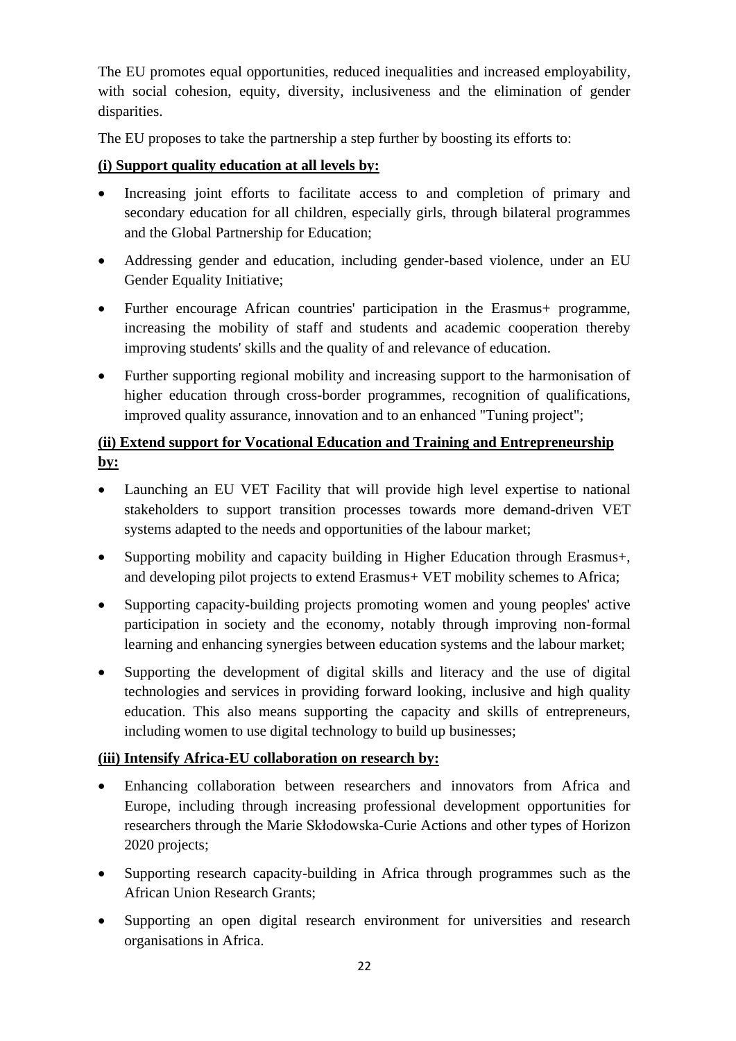The EU promotes equal opportunities, reduced inequalities and increased employability, with social cohesion, equity, diversity, inclusiveness and the elimination of gender disparities.

The EU proposes to take the partnership a step further by boosting its efforts to:

## **(i) Support quality education at all levels by:**

- Increasing joint efforts to facilitate access to and completion of primary and secondary education for all children, especially girls, through bilateral programmes and the Global Partnership for Education;
- Addressing gender and education, including gender-based violence, under an EU Gender Equality Initiative;
- Further encourage African countries' participation in the Erasmus+ programme, increasing the mobility of staff and students and academic cooperation thereby improving students' skills and the quality of and relevance of education.
- Further supporting regional mobility and increasing support to the harmonisation of higher education through cross-border programmes, recognition of qualifications, improved quality assurance, innovation and to an enhanced "Tuning project";

# **(ii) Extend support for Vocational Education and Training and Entrepreneurship by:**

- Launching an EU VET Facility that will provide high level expertise to national stakeholders to support transition processes towards more demand-driven VET systems adapted to the needs and opportunities of the labour market;
- Supporting mobility and capacity building in Higher Education through Erasmus+, and developing pilot projects to extend Erasmus+ VET mobility schemes to Africa;
- Supporting capacity-building projects promoting women and young peoples' active participation in society and the economy, notably through improving non-formal learning and enhancing synergies between education systems and the labour market;
- Supporting the development of digital skills and literacy and the use of digital technologies and services in providing forward looking, inclusive and high quality education. This also means supporting the capacity and skills of entrepreneurs, including women to use digital technology to build up businesses;

## **(iii) Intensify Africa-EU collaboration on research by:**

- Enhancing collaboration between researchers and innovators from Africa and Europe, including through increasing professional development opportunities for researchers through the Marie Skłodowska-Curie Actions and other types of Horizon 2020 projects;
- Supporting research capacity-building in Africa through programmes such as the African Union Research Grants;
- Supporting an open digital research environment for universities and research organisations in Africa.